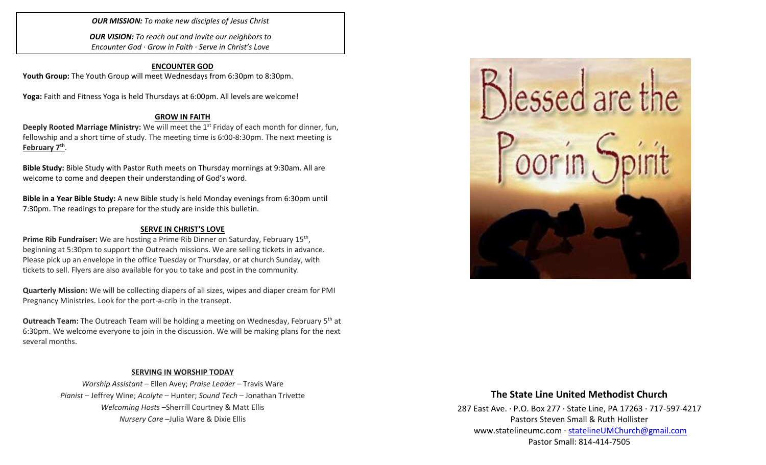*OUR MISSION: To make new disciples of Jesus Christ*

*OUR VISION: To reach out and invite our neighbors to Encounter God · Grow in Faith · Serve in Christ's Love*

### **ENCOUNTER GOD**

Youth Group: The Youth Group will meet Wednesdays from 6:30pm to 8:30pm.

**Yoga:** Faith and Fitness Yoga is held Thursdays at 6:00pm. All levels are welcome!

#### **GROW IN FAITH**

**Deeply Rooted Marriage Ministry:** We will meet the 1<sup>st</sup> Friday of each month for dinner, fun, fellowship and a short time of study. The meeting time is 6:00-8:30pm. The next meeting is **February 7th** .

**Bible Study:** Bible Study with Pastor Ruth meets on Thursday mornings at 9:30am. All are welcome to come and deepen their understanding of God's word.

**Bible in a Year Bible Study:** A new Bible study is held Monday evenings from 6:30pm until 7:30pm. The readings to prepare for the study are inside this bulletin.

### **SERVE IN CHRIST'S LOVE**

Prime Rib Fundraiser: We are hosting a Prime Rib Dinner on Saturday, February 15<sup>th</sup>, beginning at 5:30pm to support the Outreach missions. We are selling tickets in advance. Please pick up an envelope in the office Tuesday or Thursday, or at church Sunday, with tickets to sell. Flyers are also available for you to take and post in the community.

**Quarterly Mission:** We will be collecting diapers of all sizes, wipes and diaper cream for PMI Pregnancy Ministries. Look for the port-a-crib in the transept.

**Outreach Team:** The Outreach Team will be holding a meeting on Wednesday, February 5<sup>th</sup> at 6:30pm. We welcome everyone to join in the discussion. We will be making plans for the next several months.

### **SERVING IN WORSHIP TODAY**

*Worship Assistant* – Ellen Avey; *Praise Leader* – Travis Ware *Pianist* – Jeffrey Wine; *Acolyte* – Hunter; *Sound Tech* – Jonathan Trivette *Welcoming Hosts* –Sherrill Courtney & Matt Ellis *Nursery Care* –Julia Ware & Dixie Ellis



## **The State Line United Methodist Church**

287 East Ave. · P.O. Box 277 · State Line, PA 17263 · 717-597-4217 Pastors Steven Small & Ruth Hollister [www.statelineumc.com](http://www.statelineumc.com/) · [statelineUMChurch@gmail.com](mailto:statelineUMChurch@gmail.com) Pastor Small: 814-414-7505